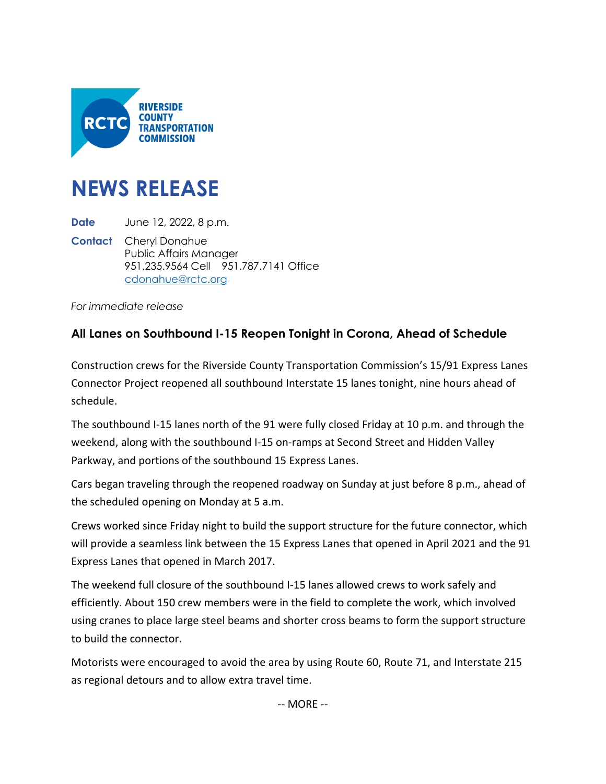

## **NEWS RELEASE**

**Date** June 12, 2022, 8 p.m.

**Contact** Cheryl Donahue Public Affairs Manager 951.235.9564 Cell 951.787.7141 Office [cdonahue@rctc.org](mailto:cdonahue@rctc.org)

*For immediate release*

## **All Lanes on Southbound I-15 Reopen Tonight in Corona, Ahead of Schedule**

Construction crews for the Riverside County Transportation Commission's 15/91 Express Lanes Connector Project reopened all southbound Interstate 15 lanes tonight, nine hours ahead of schedule.

The southbound I-15 lanes north of the 91 were fully closed Friday at 10 p.m. and through the weekend, along with the southbound I-15 on-ramps at Second Street and Hidden Valley Parkway, and portions of the southbound 15 Express Lanes.

Cars began traveling through the reopened roadway on Sunday at just before 8 p.m., ahead of the scheduled opening on Monday at 5 a.m.

Crews worked since Friday night to build the support structure for the future connector, which will provide a seamless link between the 15 Express Lanes that opened in April 2021 and the 91 Express Lanes that opened in March 2017.

The weekend full closure of the southbound I-15 lanes allowed crews to work safely and efficiently. About 150 crew members were in the field to complete the work, which involved using cranes to place large steel beams and shorter cross beams to form the support structure to build the connector.

Motorists were encouraged to avoid the area by using Route 60, Route 71, and Interstate 215 as regional detours and to allow extra travel time.

-- MORE --